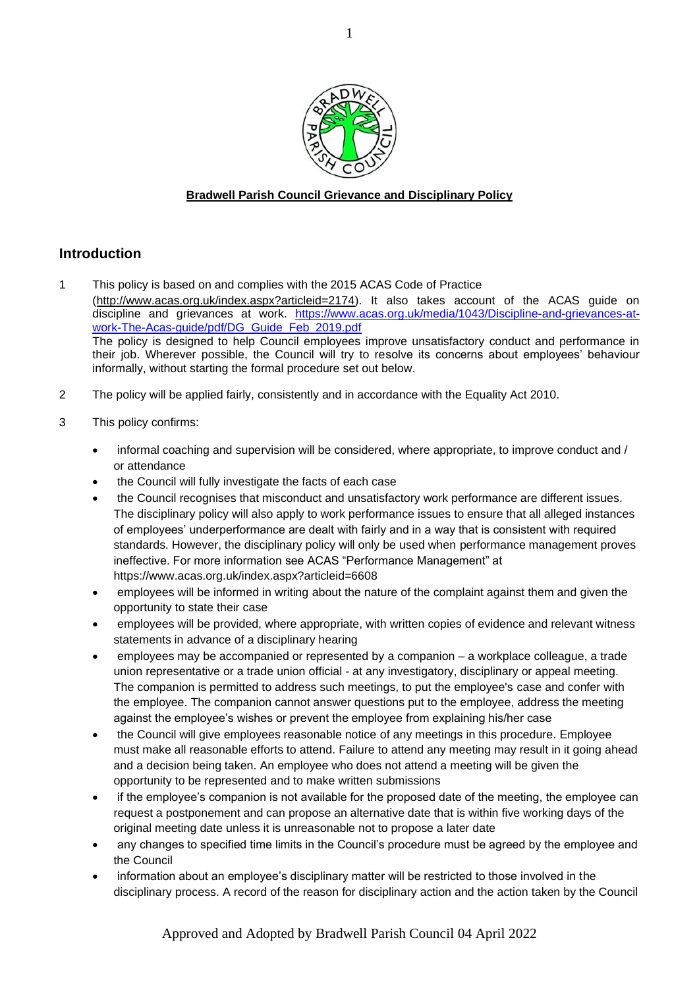

# **Bradwell Parish Council Grievance and Disciplinary Policy**

# **Introduction**

- 1 This policy is based on and complies with the 2015 ACAS Code of Practice [\(http://www.acas.org.uk/index.aspx?articleid=2174\)](http://www.acas.org.uk/index.aspx?articleid=2174). It also takes account of the ACAS guide on discipline and grievances at work. [https://www.acas.org.uk/media/1043/Discipline-and-grievances-at](https://www.acas.org.uk/media/1043/Discipline-and-grievances-at-work-The-Acas-guide/pdf/DG_Guide_Feb_2019.pdf)[work-The-Acas-guide/pdf/DG\\_Guide\\_Feb\\_2019.pdf](https://www.acas.org.uk/media/1043/Discipline-and-grievances-at-work-The-Acas-guide/pdf/DG_Guide_Feb_2019.pdf) The policy is designed to help Council employees improve unsatisfactory conduct and performance in their job. Wherever possible, the Council will try to resolve its concerns about employees' behaviour informally, without starting the formal procedure set out below.
- 2 The policy will be applied fairly, consistently and in accordance with the Equality Act 2010.
- 3 This policy confirms:
	- informal coaching and supervision will be considered, where appropriate, to improve conduct and / or attendance
	- the Council will fully investigate the facts of each case
	- the Council recognises that misconduct and unsatisfactory work performance are different issues. The disciplinary policy will also apply to work performance issues to ensure that all alleged instances of employees' underperformance are dealt with fairly and in a way that is consistent with required standards. However, the disciplinary policy will only be used when performance management proves ineffective. For more information see ACAS "Performance Management" at <https://www.acas.org.uk/index.aspx?articleid=6608>
	- employees will be informed in writing about the nature of the complaint against them and given the opportunity to state their case
	- employees will be provided, where appropriate, with written copies of evidence and relevant witness statements in advance of a disciplinary hearing
	- employees may be accompanied or represented by a companion a workplace colleague, a trade union representative or a trade union official - at any investigatory, disciplinary or appeal meeting. The companion is permitted to address such meetings, to put the employee's case and confer with the employee. The companion cannot answer questions put to the employee, address the meeting against the employee's wishes or prevent the employee from explaining his/her case
	- the Council will give employees reasonable notice of any meetings in this procedure. Employee must make all reasonable efforts to attend. Failure to attend any meeting may result in it going ahead and a decision being taken. An employee who does not attend a meeting will be given the opportunity to be represented and to make written submissions
	- if the employee's companion is not available for the proposed date of the meeting, the employee can request a postponement and can propose an alternative date that is within five working days of the original meeting date unless it is unreasonable not to propose a later date
	- any changes to specified time limits in the Council's procedure must be agreed by the employee and the Council
	- information about an employee's disciplinary matter will be restricted to those involved in the disciplinary process. A record of the reason for disciplinary action and the action taken by the Council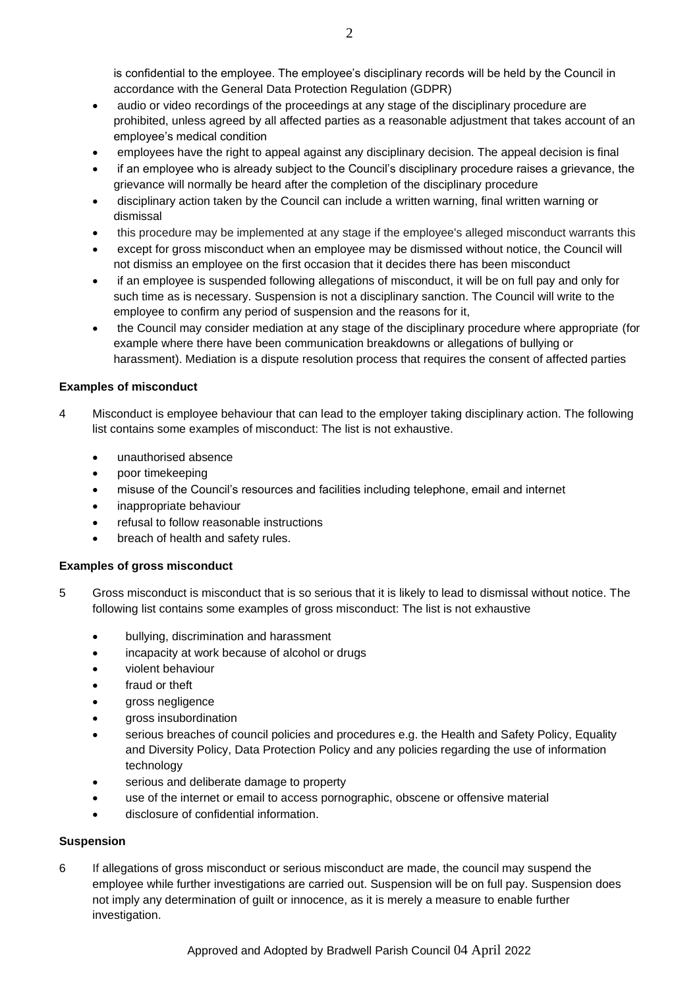is confidential to the employee. The employee's disciplinary records will be held by the Council in accordance with the General Data Protection Regulation (GDPR)

- audio or video recordings of the proceedings at any stage of the disciplinary procedure are prohibited, unless agreed by all affected parties as a reasonable adjustment that takes account of an employee's medical condition
- employees have the right to appeal against any disciplinary decision. The appeal decision is final
- if an employee who is already subject to the Council's disciplinary procedure raises a grievance, the grievance will normally be heard after the completion of the disciplinary procedure
- disciplinary action taken by the Council can include a written warning, final written warning or dismissal
- this procedure may be implemented at any stage if the employee's alleged misconduct warrants this
- except for gross misconduct when an employee may be dismissed without notice, the Council will not dismiss an employee on the first occasion that it decides there has been misconduct
- if an employee is suspended following allegations of misconduct, it will be on full pay and only for such time as is necessary. Suspension is not a disciplinary sanction. The Council will write to the employee to confirm any period of suspension and the reasons for it,
- the Council may consider mediation at any stage of the disciplinary procedure where appropriate (for example where there have been communication breakdowns or allegations of bullying or harassment). Mediation is a dispute resolution process that requires the consent of affected parties

# **Examples of misconduct**

- 4 Misconduct is employee behaviour that can lead to the employer taking disciplinary action. The following list contains some examples of misconduct: The list is not exhaustive.
	- unauthorised absence
	- poor timekeeping
	- misuse of the Council's resources and facilities including telephone, email and internet
	- inappropriate behaviour
	- refusal to follow reasonable instructions
	- breach of health and safety rules.

# **Examples of gross misconduct**

- 5 Gross misconduct is misconduct that is so serious that it is likely to lead to dismissal without notice. The following list contains some examples of gross misconduct: The list is not exhaustive
	- bullying, discrimination and harassment
	- incapacity at work because of alcohol or drugs
	- violent behaviour
	- fraud or theft
	- gross negligence
	- gross insubordination
	- serious breaches of council policies and procedures e.g. the Health and Safety Policy, Equality and Diversity Policy, Data Protection Policy and any policies regarding the use of information technology
	- serious and deliberate damage to property
	- use of the internet or email to access pornographic, obscene or offensive material
	- disclosure of confidential information.

# **Suspension**

6 If allegations of gross misconduct or serious misconduct are made, the council may suspend the employee while further investigations are carried out. Suspension will be on full pay. Suspension does not imply any determination of guilt or innocence, as it is merely a measure to enable further investigation.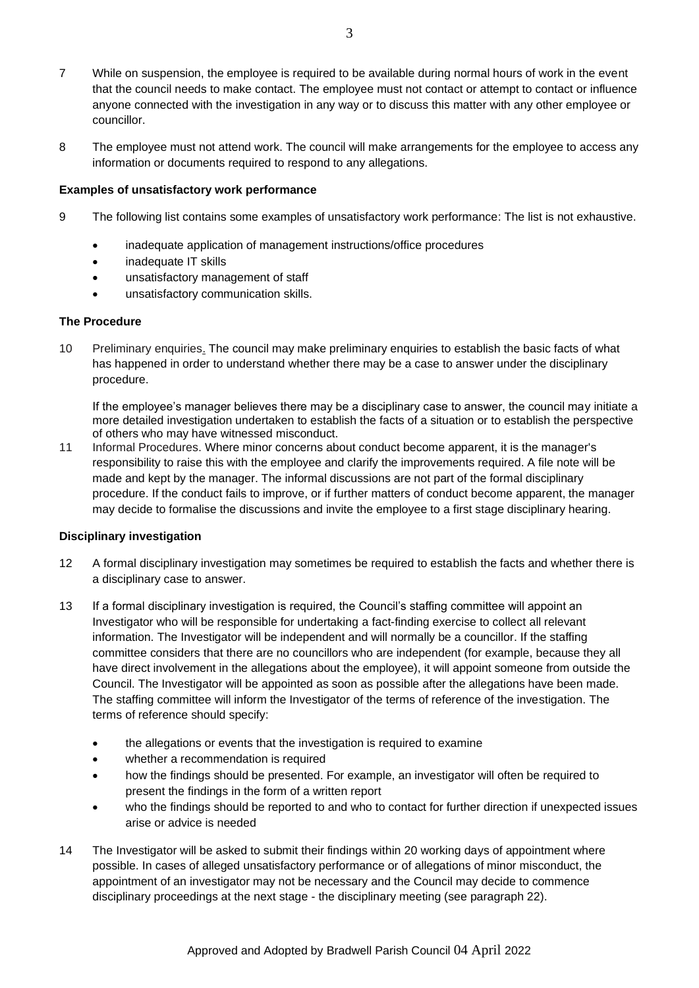- 7 While on suspension, the employee is required to be available during normal hours of work in the event that the council needs to make contact. The employee must not contact or attempt to contact or influence anyone connected with the investigation in any way or to discuss this matter with any other employee or councillor.
- 8 The employee must not attend work. The council will make arrangements for the employee to access any information or documents required to respond to any allegations.

#### **Examples of unsatisfactory work performance**

- 9 The following list contains some examples of unsatisfactory work performance: The list is not exhaustive.
	- inadequate application of management instructions/office procedures
		- inadequate IT skills
		- unsatisfactory management of staff
		- unsatisfactory communication skills.

#### **The Procedure**

10 Preliminary enquiries. The council may make preliminary enquiries to establish the basic facts of what has happened in order to understand whether there may be a case to answer under the disciplinary procedure.

If the employee's manager believes there may be a disciplinary case to answer, the council may initiate a more detailed investigation undertaken to establish the facts of a situation or to establish the perspective of others who may have witnessed misconduct.

11 Informal Procedures. Where minor concerns about conduct become apparent, it is the manager's responsibility to raise this with the employee and clarify the improvements required. A file note will be made and kept by the manager. The informal discussions are not part of the formal disciplinary procedure. If the conduct fails to improve, or if further matters of conduct become apparent, the manager may decide to formalise the discussions and invite the employee to a first stage disciplinary hearing.

#### **Disciplinary investigation**

- 12 A formal disciplinary investigation may sometimes be required to establish the facts and whether there is a disciplinary case to answer.
- 13 If a formal disciplinary investigation is required, the Council's staffing committee will appoint an Investigator who will be responsible for undertaking a fact-finding exercise to collect all relevant information. The Investigator will be independent and will normally be a councillor. If the staffing committee considers that there are no councillors who are independent (for example, because they all have direct involvement in the allegations about the employee), it will appoint someone from outside the Council. The Investigator will be appointed as soon as possible after the allegations have been made. The staffing committee will inform the Investigator of the terms of reference of the investigation. The terms of reference should specify:
	- the allegations or events that the investigation is required to examine
	- whether a recommendation is required
	- how the findings should be presented. For example, an investigator will often be required to present the findings in the form of a written report
	- who the findings should be reported to and who to contact for further direction if unexpected issues arise or advice is needed
- 14 The Investigator will be asked to submit their findings within 20 working days of appointment where possible. In cases of alleged unsatisfactory performance or of allegations of minor misconduct, the appointment of an investigator may not be necessary and the Council may decide to commence disciplinary proceedings at the next stage - the disciplinary meeting (see paragraph 22).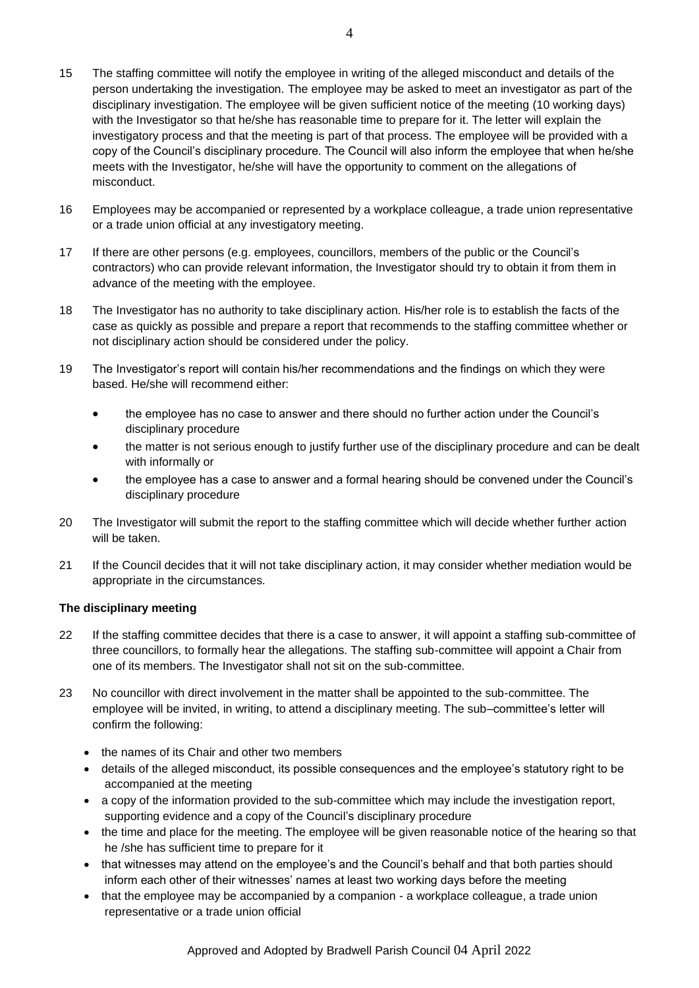- 15 The staffing committee will notify the employee in writing of the alleged misconduct and details of the person undertaking the investigation. The employee may be asked to meet an investigator as part of the disciplinary investigation. The employee will be given sufficient notice of the meeting (10 working days) with the Investigator so that he/she has reasonable time to prepare for it. The letter will explain the investigatory process and that the meeting is part of that process. The employee will be provided with a copy of the Council's disciplinary procedure. The Council will also inform the employee that when he/she meets with the Investigator, he/she will have the opportunity to comment on the allegations of misconduct.
- 16 Employees may be accompanied or represented by a workplace colleague, a trade union representative or a trade union official at any investigatory meeting.
- 17 If there are other persons (e.g. employees, councillors, members of the public or the Council's contractors) who can provide relevant information, the Investigator should try to obtain it from them in advance of the meeting with the employee.
- 18 The Investigator has no authority to take disciplinary action. His/her role is to establish the facts of the case as quickly as possible and prepare a report that recommends to the staffing committee whether or not disciplinary action should be considered under the policy.
- 19 The Investigator's report will contain his/her recommendations and the findings on which they were based. He/she will recommend either:
	- the employee has no case to answer and there should no further action under the Council's disciplinary procedure
	- the matter is not serious enough to justify further use of the disciplinary procedure and can be dealt with informally or
	- the employee has a case to answer and a formal hearing should be convened under the Council's disciplinary procedure
- 20 The Investigator will submit the report to the staffing committee which will decide whether further action will be taken.
- 21 If the Council decides that it will not take disciplinary action, it may consider whether mediation would be appropriate in the circumstances.

### **The disciplinary meeting**

- 22 If the staffing committee decides that there is a case to answer, it will appoint a staffing sub-committee of three councillors, to formally hear the allegations. The staffing sub-committee will appoint a Chair from one of its members. The Investigator shall not sit on the sub-committee.
- 23 No councillor with direct involvement in the matter shall be appointed to the sub-committee. The employee will be invited, in writing, to attend a disciplinary meeting. The sub–committee's letter will confirm the following:
	- the names of its Chair and other two members
	- details of the alleged misconduct, its possible consequences and the employee's statutory right to be accompanied at the meeting
	- a copy of the information provided to the sub-committee which may include the investigation report, supporting evidence and a copy of the Council's disciplinary procedure
	- the time and place for the meeting. The employee will be given reasonable notice of the hearing so that he /she has sufficient time to prepare for it
	- that witnesses may attend on the employee's and the Council's behalf and that both parties should inform each other of their witnesses' names at least two working days before the meeting
	- that the employee may be accompanied by a companion a workplace colleague, a trade union representative or a trade union official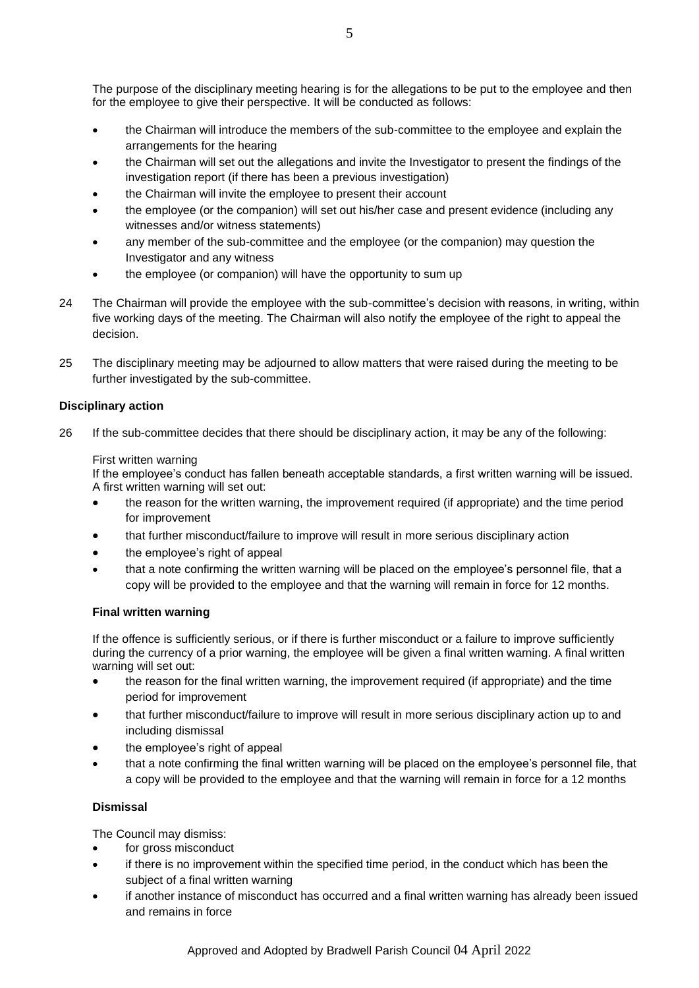- the Chairman will introduce the members of the sub-committee to the employee and explain the arrangements for the hearing
- the Chairman will set out the allegations and invite the Investigator to present the findings of the investigation report (if there has been a previous investigation)
- the Chairman will invite the employee to present their account
- the employee (or the companion) will set out his/her case and present evidence (including any witnesses and/or witness statements)
- any member of the sub-committee and the employee (or the companion) may question the Investigator and any witness
- the employee (or companion) will have the opportunity to sum up
- 24 The Chairman will provide the employee with the sub-committee's decision with reasons, in writing, within five working days of the meeting. The Chairman will also notify the employee of the right to appeal the decision.
- 25 The disciplinary meeting may be adjourned to allow matters that were raised during the meeting to be further investigated by the sub-committee.

# **Disciplinary action**

26 If the sub-committee decides that there should be disciplinary action, it may be any of the following:

## First written warning

If the employee's conduct has fallen beneath acceptable standards, a first written warning will be issued. A first written warning will set out:

- the reason for the written warning, the improvement required (if appropriate) and the time period for improvement
- that further misconduct/failure to improve will result in more serious disciplinary action
- the employee's right of appeal
- that a note confirming the written warning will be placed on the employee's personnel file, that a copy will be provided to the employee and that the warning will remain in force for 12 months.

# **Final written warning**

If the offence is sufficiently serious, or if there is further misconduct or a failure to improve sufficiently during the currency of a prior warning, the employee will be given a final written warning. A final written warning will set out:

- the reason for the final written warning, the improvement required (if appropriate) and the time period for improvement
- that further misconduct/failure to improve will result in more serious disciplinary action up to and including dismissal
- the employee's right of appeal
- that a note confirming the final written warning will be placed on the employee's personnel file, that a copy will be provided to the employee and that the warning will remain in force for a 12 months

# **Dismissal**

The Council may dismiss:

- for gross misconduct
- if there is no improvement within the specified time period, in the conduct which has been the subject of a final written warning
- if another instance of misconduct has occurred and a final written warning has already been issued and remains in force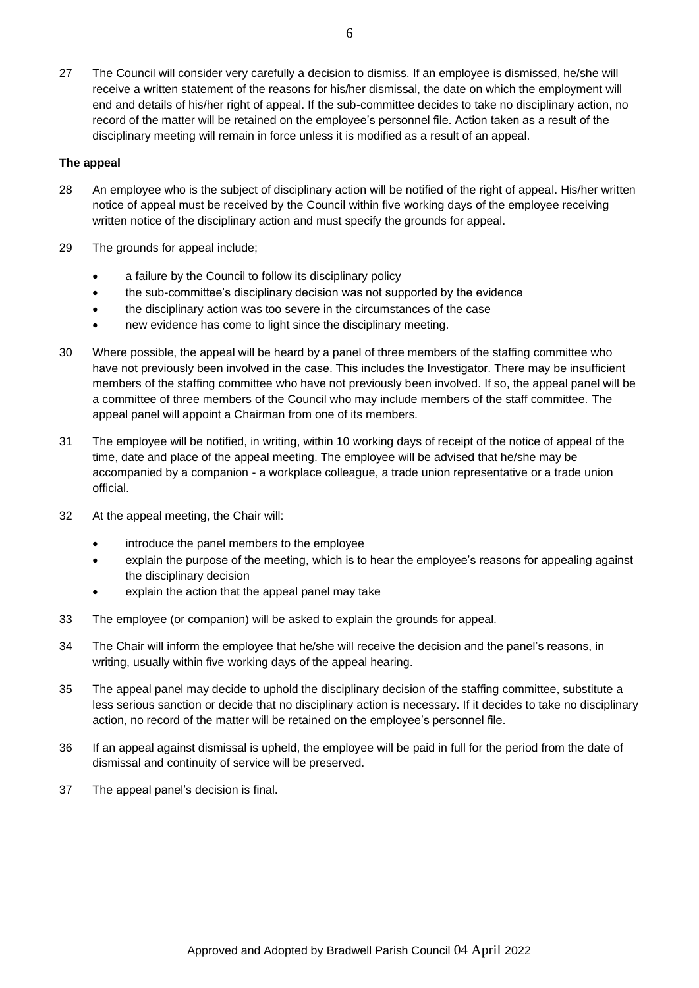27 The Council will consider very carefully a decision to dismiss. If an employee is dismissed, he/she will receive a written statement of the reasons for his/her dismissal, the date on which the employment will end and details of his/her right of appeal. If the sub-committee decides to take no disciplinary action, no record of the matter will be retained on the employee's personnel file. Action taken as a result of the disciplinary meeting will remain in force unless it is modified as a result of an appeal.

#### **The appeal**

- 28 An employee who is the subject of disciplinary action will be notified of the right of appeal. His/her written notice of appeal must be received by the Council within five working days of the employee receiving written notice of the disciplinary action and must specify the grounds for appeal.
- 29 The grounds for appeal include;
	- a failure by the Council to follow its disciplinary policy
	- the sub-committee's disciplinary decision was not supported by the evidence
	- the disciplinary action was too severe in the circumstances of the case
	- new evidence has come to light since the disciplinary meeting.
- 30 Where possible, the appeal will be heard by a panel of three members of the staffing committee who have not previously been involved in the case. This includes the Investigator. There may be insufficient members of the staffing committee who have not previously been involved. If so, the appeal panel will be a committee of three members of the Council who may include members of the staff committee. The appeal panel will appoint a Chairman from one of its members.
- 31 The employee will be notified, in writing, within 10 working days of receipt of the notice of appeal of the time, date and place of the appeal meeting. The employee will be advised that he/she may be accompanied by a companion - a workplace colleague, a trade union representative or a trade union official.
- 32 At the appeal meeting, the Chair will:
	- introduce the panel members to the employee
	- explain the purpose of the meeting, which is to hear the employee's reasons for appealing against the disciplinary decision
	- explain the action that the appeal panel may take
- 33 The employee (or companion) will be asked to explain the grounds for appeal.
- 34 The Chair will inform the employee that he/she will receive the decision and the panel's reasons, in writing, usually within five working days of the appeal hearing.
- 35 The appeal panel may decide to uphold the disciplinary decision of the staffing committee, substitute a less serious sanction or decide that no disciplinary action is necessary. If it decides to take no disciplinary action, no record of the matter will be retained on the employee's personnel file.
- 36 If an appeal against dismissal is upheld, the employee will be paid in full for the period from the date of dismissal and continuity of service will be preserved.
- 37 The appeal panel's decision is final.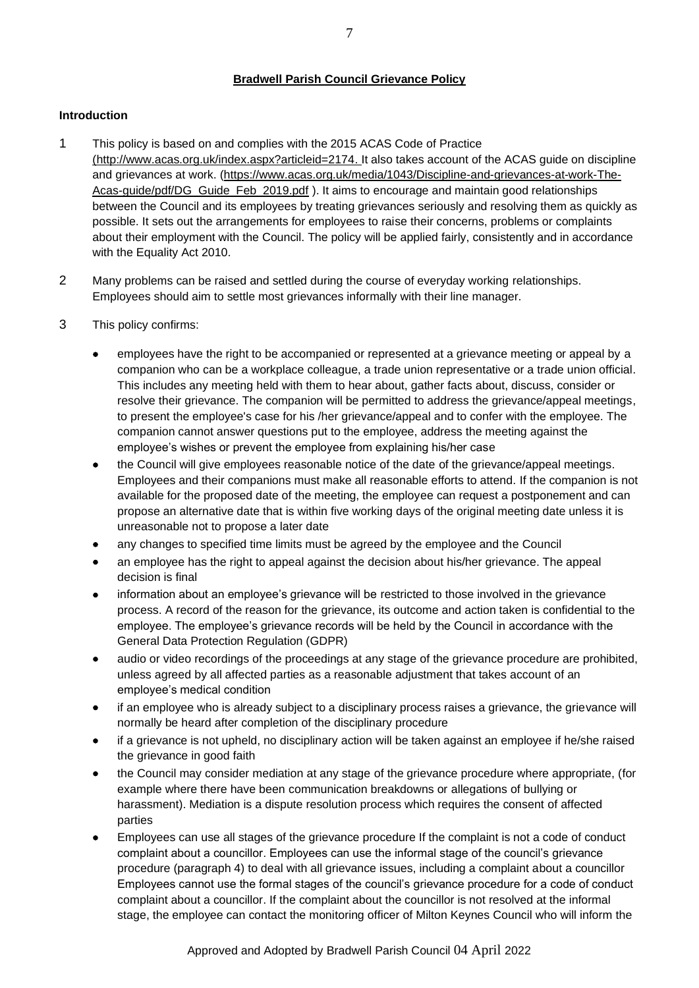## **Bradwell Parish Council Grievance Policy**

## **Introduction**

- 1 This policy is based on and complies with the 2015 ACAS Code of Practice [\(http://www.acas.org.uk/index.aspx?articleid=2174.](http://www.acas.org.uk/index.aspx?articleid=2174) It also takes account of the ACAS guide on discipline and grievances at work. [\(https://www.acas.org.uk/media/1043/Discipline-and-grievances-at-work-The-](https://www.acas.org.uk/media/1043/Discipline-and-grievances-at-work-The-Acas-guide/pdf/DG_Guide_Feb_2019.pdf)[Acas-guide/pdf/DG\\_Guide\\_Feb\\_2019.pdf](https://www.acas.org.uk/media/1043/Discipline-and-grievances-at-work-The-Acas-guide/pdf/DG_Guide_Feb_2019.pdf) ). It aims to encourage and maintain good relationships between the Council and its employees by treating grievances seriously and resolving them as quickly as possible. It sets out the arrangements for employees to raise their concerns, problems or complaints about their employment with the Council. The policy will be applied fairly, consistently and in accordance with the Equality Act 2010.
- 2 Many problems can be raised and settled during the course of everyday working relationships. Employees should aim to settle most grievances informally with their line manager.
- 3 This policy confirms:
	- employees have the right to be accompanied or represented at a grievance meeting or appeal by a companion who can be a workplace colleague, a trade union representative or a trade union official. This includes any meeting held with them to hear about, gather facts about, discuss, consider or resolve their grievance. The companion will be permitted to address the grievance/appeal meetings, to present the employee's case for his /her grievance/appeal and to confer with the employee. The companion cannot answer questions put to the employee, address the meeting against the employee's wishes or prevent the employee from explaining his/her case
	- the Council will give employees reasonable notice of the date of the grievance/appeal meetings. Employees and their companions must make all reasonable efforts to attend. If the companion is not available for the proposed date of the meeting, the employee can request a postponement and can propose an alternative date that is within five working days of the original meeting date unless it is unreasonable not to propose a later date
	- any changes to specified time limits must be agreed by the employee and the Council
	- an employee has the right to appeal against the decision about his/her grievance. The appeal decision is final
	- information about an employee's grievance will be restricted to those involved in the grievance process. A record of the reason for the grievance, its outcome and action taken is confidential to the employee. The employee's grievance records will be held by the Council in accordance with the General Data Protection Regulation (GDPR)
	- audio or video recordings of the proceedings at any stage of the grievance procedure are prohibited, unless agreed by all affected parties as a reasonable adjustment that takes account of an employee's medical condition
	- if an employee who is already subject to a disciplinary process raises a grievance, the grievance will normally be heard after completion of the disciplinary procedure
	- if a grievance is not upheld, no disciplinary action will be taken against an employee if he/she raised the grievance in good faith
	- the Council may consider mediation at any stage of the grievance procedure where appropriate, (for example where there have been communication breakdowns or allegations of bullying or harassment). Mediation is a dispute resolution process which requires the consent of affected parties
	- Employees can use all stages of the grievance procedure If the complaint is not a code of conduct complaint about a councillor. Employees can use the informal stage of the council's grievance procedure (paragraph 4) to deal with all grievance issues, including a complaint about a councillor Employees cannot use the formal stages of the council's grievance procedure for a code of conduct complaint about a councillor. If the complaint about the councillor is not resolved at the informal stage, the employee can contact the monitoring officer of Milton Keynes Council who will inform the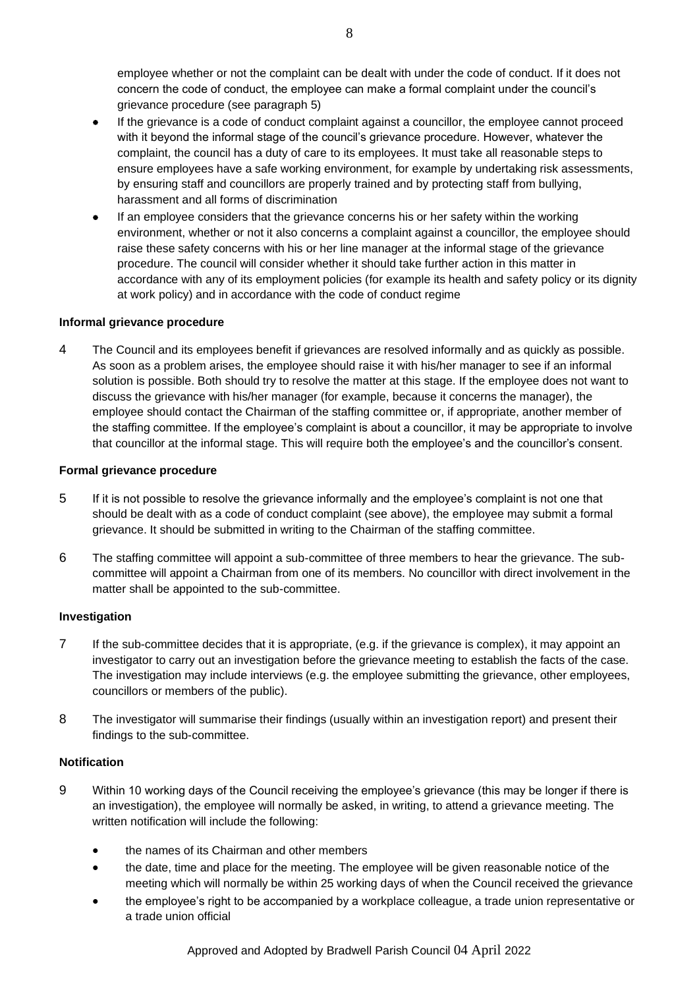employee whether or not the complaint can be dealt with under the code of conduct. If it does not concern the code of conduct, the employee can make a formal complaint under the council's grievance procedure (see paragraph 5)

- If the grievance is a code of conduct complaint against a councillor, the employee cannot proceed with it beyond the informal stage of the council's grievance procedure. However, whatever the complaint, the council has a duty of care to its employees. It must take all reasonable steps to ensure employees have a safe working environment, for example by undertaking risk assessments, by ensuring staff and councillors are properly trained and by protecting staff from bullying, harassment and all forms of discrimination
- If an employee considers that the grievance concerns his or her safety within the working environment, whether or not it also concerns a complaint against a councillor, the employee should raise these safety concerns with his or her line manager at the informal stage of the grievance procedure. The council will consider whether it should take further action in this matter in accordance with any of its employment policies (for example its health and safety policy or its dignity at work policy) and in accordance with the code of conduct regime

### **Informal grievance procedure**

4 The Council and its employees benefit if grievances are resolved informally and as quickly as possible. As soon as a problem arises, the employee should raise it with his/her manager to see if an informal solution is possible. Both should try to resolve the matter at this stage. If the employee does not want to discuss the grievance with his/her manager (for example, because it concerns the manager), the employee should contact the Chairman of the staffing committee or, if appropriate, another member of the staffing committee. If the employee's complaint is about a councillor, it may be appropriate to involve that councillor at the informal stage. This will require both the employee's and the councillor's consent.

#### **Formal grievance procedure**

- 5 If it is not possible to resolve the grievance informally and the employee's complaint is not one that should be dealt with as a code of conduct complaint (see above), the employee may submit a formal grievance. It should be submitted in writing to the Chairman of the staffing committee.
- 6 The staffing committee will appoint a sub-committee of three members to hear the grievance. The subcommittee will appoint a Chairman from one of its members. No councillor with direct involvement in the matter shall be appointed to the sub-committee.

#### **Investigation**

- 7 If the sub-committee decides that it is appropriate, (e.g. if the grievance is complex), it may appoint an investigator to carry out an investigation before the grievance meeting to establish the facts of the case. The investigation may include interviews (e.g. the employee submitting the grievance, other employees, councillors or members of the public).
- 8 The investigator will summarise their findings (usually within an investigation report) and present their findings to the sub-committee.

#### **Notification**

- 9 Within 10 working days of the Council receiving the employee's grievance (this may be longer if there is an investigation), the employee will normally be asked, in writing, to attend a grievance meeting. The written notification will include the following:
	- the names of its Chairman and other members
	- the date, time and place for the meeting. The employee will be given reasonable notice of the meeting which will normally be within 25 working days of when the Council received the grievance
	- the employee's right to be accompanied by a workplace colleague, a trade union representative or a trade union official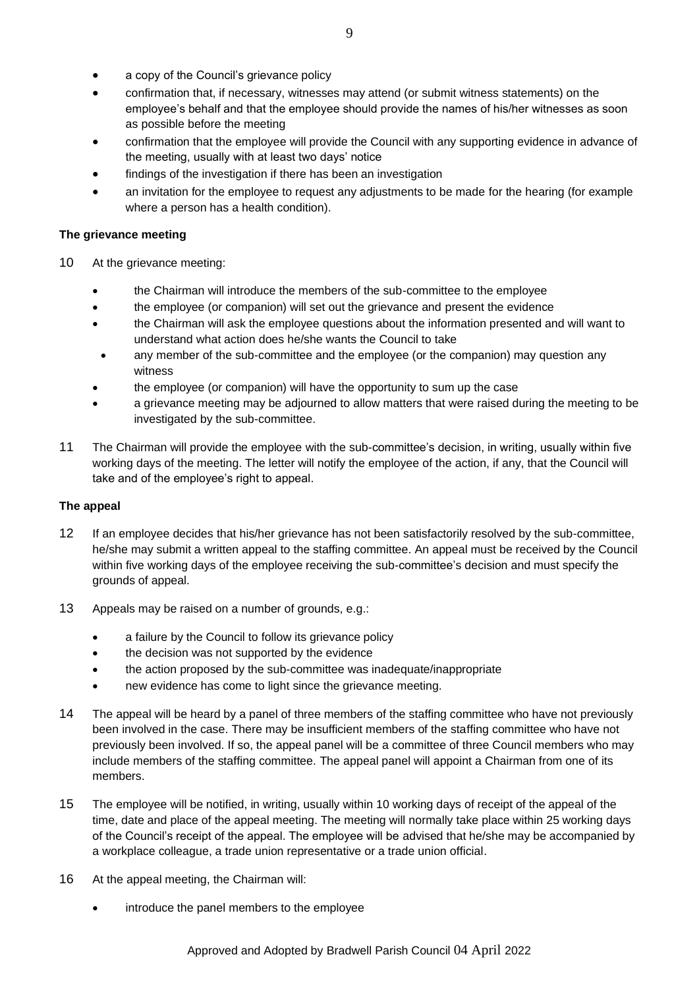- a copy of the Council's grievance policy
- confirmation that, if necessary, witnesses may attend (or submit witness statements) on the employee's behalf and that the employee should provide the names of his/her witnesses as soon as possible before the meeting
- confirmation that the employee will provide the Council with any supporting evidence in advance of the meeting, usually with at least two days' notice
- findings of the investigation if there has been an investigation
- an invitation for the employee to request any adjustments to be made for the hearing (for example where a person has a health condition).

#### **The grievance meeting**

- 10 At the grievance meeting:
	- the Chairman will introduce the members of the sub-committee to the employee
	- the employee (or companion) will set out the grievance and present the evidence
	- the Chairman will ask the employee questions about the information presented and will want to understand what action does he/she wants the Council to take
	- any member of the sub-committee and the employee (or the companion) may question any witness
	- the employee (or companion) will have the opportunity to sum up the case
	- a grievance meeting may be adjourned to allow matters that were raised during the meeting to be investigated by the sub-committee.
- 11 The Chairman will provide the employee with the sub-committee's decision, in writing, usually within five working days of the meeting. The letter will notify the employee of the action, if any, that the Council will take and of the employee's right to appeal.

### **The appeal**

- 12 If an employee decides that his/her grievance has not been satisfactorily resolved by the sub-committee, he/she may submit a written appeal to the staffing committee. An appeal must be received by the Council within five working days of the employee receiving the sub-committee's decision and must specify the grounds of appeal.
- 13 Appeals may be raised on a number of grounds, e.g.:
	- a failure by the Council to follow its grievance policy
	- the decision was not supported by the evidence
	- the action proposed by the sub-committee was inadequate/inappropriate
	- new evidence has come to light since the grievance meeting.
- 14 The appeal will be heard by a panel of three members of the staffing committee who have not previously been involved in the case. There may be insufficient members of the staffing committee who have not previously been involved. If so, the appeal panel will be a committee of three Council members who may include members of the staffing committee. The appeal panel will appoint a Chairman from one of its members.
- 15 The employee will be notified, in writing, usually within 10 working days of receipt of the appeal of the time, date and place of the appeal meeting. The meeting will normally take place within 25 working days of the Council's receipt of the appeal. The employee will be advised that he/she may be accompanied by a workplace colleague, a trade union representative or a trade union official.
- 16 At the appeal meeting, the Chairman will:
	- introduce the panel members to the employee